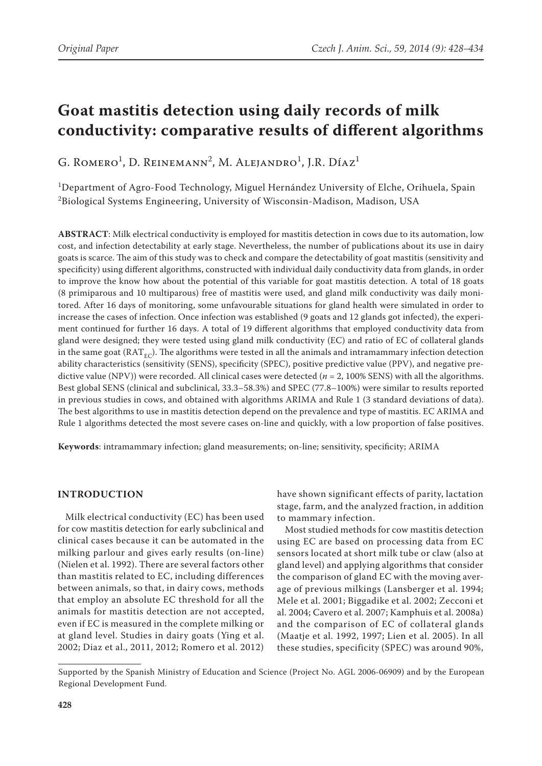# **Goat mastitis detection using daily records of milk conductivity: comparative results of different algorithms**

G. Romero<sup>1</sup>, D. Reinemann<sup>2</sup>, M. Alejandro<sup>1</sup>, J.R. Díaz<sup>1</sup>

1 Department of Agro-Food Technology, Miguel Hernández University of Elche, Orihuela, Spain  $^2$ Biological Systems Engineering, University of Wisconsin-Madison, Madison, USA

**ABSTRACT**: Milk electrical conductivity is employed for mastitis detection in cows due to its automation, low cost, and infection detectability at early stage. Nevertheless, the number of publications about its use in dairy goats is scarce. The aim of this study was to check and compare the detectability of goat mastitis (sensitivity and specificity) using different algorithms, constructed with individual daily conductivity data from glands, in order to improve the know how about the potential of this variable for goat mastitis detection. A total of 18 goats (8 primiparous and 10 multiparous) free of mastitis were used, and gland milk conductivity was daily monitored. After 16 days of monitoring, some unfavourable situations for gland health were simulated in order to increase the cases of infection. Once infection was established (9 goats and 12 glands got infected), the experiment continued for further 16 days. A total of 19 different algorithms that employed conductivity data from gland were designed; they were tested using gland milk conductivity (EC) and ratio of EC of collateral glands in the same goat ( $RAT_{EC}$ ). The algorithms were tested in all the animals and intramammary infection detection ability characteristics (sensitivity (SENS), specificity (SPEC), positive predictive value (PPV), and negative predictive value (NPV)) were recorded. All clinical cases were detected (*n* = 2, 100% SENS) with all the algorithms. Best global SENS (clinical and subclinical, 33.3–58.3%) and SPEC (77.8–100%) were similar to results reported in previous studies in cows, and obtained with algorithms ARIMA and Rule 1 (3 standard deviations of data). The best algorithms to use in mastitis detection depend on the prevalence and type of mastitis. EC ARIMA and Rule 1 algorithms detected the most severe cases on-line and quickly, with a low proportion of false positives.

**Keywords**: intramammary infection; gland measurements; on-line; sensitivity, specificity; ARIMA

## **INTRODUCTION**

Milk electrical conductivity (EC) has been used for cow mastitis detection for early subclinical and clinical cases because it can be automated in the milking parlour and gives early results (on-line) (Nielen et al. 1992). There are several factors other than mastitis related to EC, including differences between animals, so that, in dairy cows, methods that employ an absolute EC threshold for all the animals for mastitis detection are not accepted, even if EC is measured in the complete milking or at gland level. Studies in dairy goats (Ying et al. 2002; Diaz et al., 2011, 2012; Romero et al. 2012)

have shown significant effects of parity, lactation stage, farm, and the analyzed fraction, in addition to mammary infection.

Most studied methods for cow mastitis detection using EC are based on processing data from EC sensors located at short milk tube or claw (also at gland level) and applying algorithms that consider the comparison of gland EC with the moving average of previous milkings (Lansberger et al. 1994; Mele et al. 2001; Biggadike et al. 2002; Zecconi et al. 2004; Cavero et al. 2007; Kamphuis et al. 2008a) and the comparison of EC of collateral glands (Maatje et al. 1992, 1997; Lien et al. 2005). In all these studies, specificity (SPEC) was around 90%,

Supported by the Spanish Ministry of Education and Science (Project No. AGL 2006-06909) and by the European Regional Development Fund.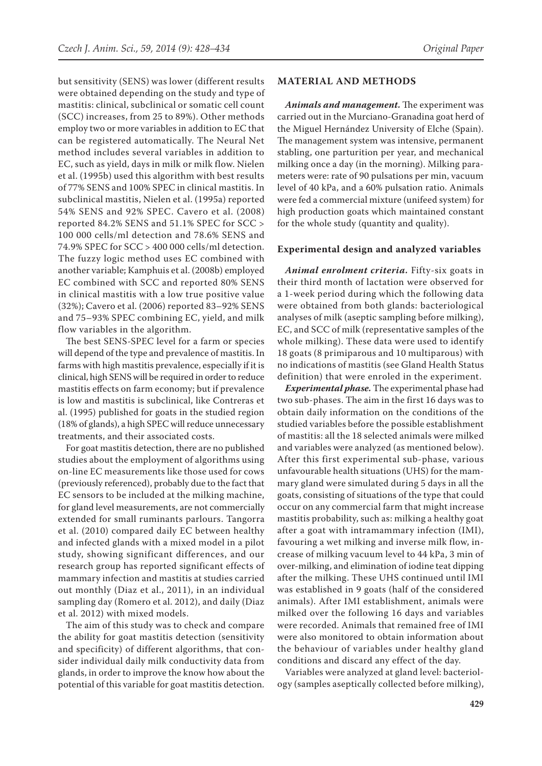but sensitivity (SENS) was lower (different results were obtained depending on the study and type of mastitis: clinical, subclinical or somatic cell count (SCC) increases, from 25 to 89%). Other methods employ two or more variables in addition to EC that can be registered automatically. The Neural Net method includes several variables in addition to EC, such as yield, days in milk or milk flow. Nielen et al. (1995b) used this algorithm with best results of 77% SENS and 100% SPEC in clinical mastitis. In subclinical mastitis, Nielen et al. (1995a) reported 54% SENS and 92% SPEC. Cavero et al. (2008) reported 84.2% SENS and 51.1% SPEC for SCC > 100 000 cells/ml detection and 78.6% SENS and 74.9% SPEC for SCC > 400 000 cells/ml detection. The fuzzy logic method uses EC combined with another variable; Kamphuis et al. (2008b) employed EC combined with SCC and reported 80% SENS in clinical mastitis with a low true positive value (32%); Cavero et al. (2006) reported 83–92% SENS and 75–93% SPEC combining EC, yield, and milk flow variables in the algorithm.

The best SENS-SPEC level for a farm or species will depend of the type and prevalence of mastitis. In farms with high mastitis prevalence, especially if it is clinical, high SENS will be required in order to reduce mastitis effects on farm economy; but if prevalence is low and mastitis is subclinical, like Contreras et al. (1995) published for goats in the studied region (18% of glands), a high SPEC will reduce unnecessary treatments, and their associated costs.

For goat mastitis detection, there are no published studies about the employment of algorithms using on-line EC measurements like those used for cows (previously referenced), probably due to the fact that EC sensors to be included at the milking machine, for gland level measurements, are not commercially extended for small ruminants parlours. Tangorra et al. (2010) compared daily EC between healthy and infected glands with a mixed model in a pilot study, showing significant differences, and our research group has reported significant effects of mammary infection and mastitis at studies carried out monthly (Diaz et al., 2011), in an individual sampling day (Romero et al. 2012), and daily (Diaz et al. 2012) with mixed models.

The aim of this study was to check and compare the ability for goat mastitis detection (sensitivity and specificity) of different algorithms, that consider individual daily milk conductivity data from glands, in order to improve the know how about the potential of this variable for goat mastitis detection.

## **MATERIAL AND METHODS**

*Animals and management.* The experiment was carried out in the Murciano-Granadina goat herd of the Miguel Hernández University of Elche (Spain). The management system was intensive, permanent stabling, one parturition per year, and mechanical milking once a day (in the morning). Milking parameters were: rate of 90 pulsations per min, vacuum level of 40 kPa, and a 60% pulsation ratio. Animals were fed a commercial mixture (unifeed system) for high production goats which maintained constant for the whole study (quantity and quality).

### **Experimental design and analyzed variables**

*Animal enrolment criteria.* Fifty-six goats in their third month of lactation were observed for a 1-week period during which the following data were obtained from both glands: bacteriological analyses of milk (aseptic sampling before milking), EC, and SCC of milk (representative samples of the whole milking). These data were used to identify 18 goats (8 primiparous and 10 multiparous) with no indications of mastitis (see Gland Health Status definition) that were enroled in the experiment.

*Experimental phase.* The experimental phase had two sub-phases. The aim in the first 16 days was to obtain daily information on the conditions of the studied variables before the possible establishment of mastitis: all the 18 selected animals were milked and variables were analyzed (as mentioned below). After this first experimental sub-phase, various unfavourable health situations (UHS) for the mammary gland were simulated during 5 days in all the goats, consisting of situations of the type that could occur on any commercial farm that might increase mastitis probability, such as: milking a healthy goat after a goat with intramammary infection (IMI), favouring a wet milking and inverse milk flow, increase of milking vacuum level to 44 kPa, 3 min of over-milking, and elimination of iodine teat dipping after the milking. These UHS continued until IMI was established in 9 goats (half of the considered animals). After IMI establishment, animals were milked over the following 16 days and variables were recorded. Animals that remained free of IMI were also monitored to obtain information about the behaviour of variables under healthy gland conditions and discard any effect of the day.

Variables were analyzed at gland level: bacteriology (samples aseptically collected before milking),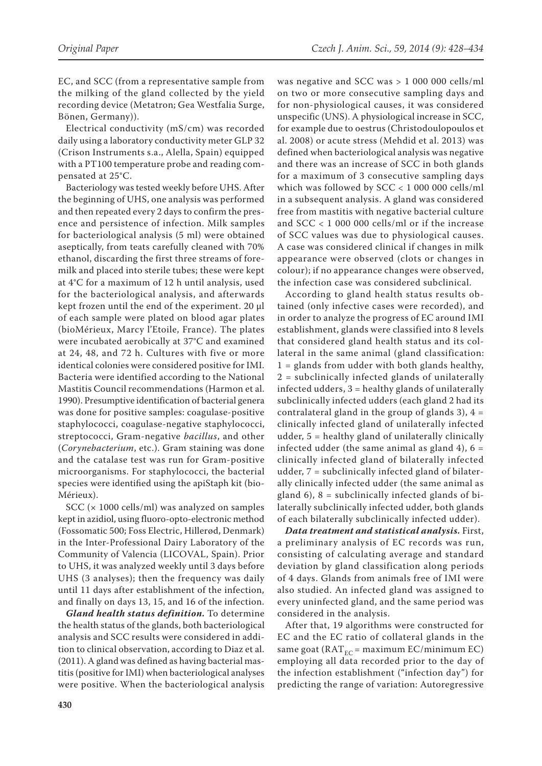EC, and SCC (from a representative sample from the milking of the gland collected by the yield recording device (Metatron; Gea Westfalia Surge, Bönen, Germany)).

Electrical conductivity (mS/cm) was recorded daily using a laboratory conductivity meter GLP 32 (Crison Instruments s.a., Alella, Spain) equipped with a PT100 temperature probe and reading compensated at 25°C.

Bacteriology was tested weekly before UHS. After the beginning of UHS, one analysis was performed and then repeated every 2 days to confirm the presence and persistence of infection. Milk samples for bacteriological analysis (5 ml) were obtained aseptically, from teats carefully cleaned with 70% ethanol, discarding the first three streams of foremilk and placed into sterile tubes; these were kept at 4°C for a maximum of 12 h until analysis, used for the bacteriological analysis, and afterwards kept frozen until the end of the experiment. 20 μl of each sample were plated on blood agar plates (bioMérieux, Marcy l'Etoile, France). The plates were incubated aerobically at 37°C and examined at 24, 48, and 72 h. Cultures with five or more identical colonies were considered positive for IMI. Bacteria were identified according to the National Mastitis Council recommendations (Harmon et al. 1990). Presumptive identification of bacterial genera was done for positive samples: coagulase-positive staphylococci, coagulase-negative staphylococci, streptococci, Gram-negative *bacillus*, and other (*Corynebacterium*, etc.). Gram staining was done and the catalase test was run for Gram-positive microorganisms. For staphylococci, the bacterial species were identified using the apiStaph kit (bio-Mérieux).

SCC (× 1000 cells/ml) was analyzed on samples kept in azidiol, using fluoro-opto-electronic method (Fossomatic 500; Foss Electric, Hillerød, Denmark) in the Inter-Professional Dairy Laboratory of the Community of Valencia (LICOVAL, Spain). Prior to UHS, it was analyzed weekly until 3 days before UHS (3 analyses); then the frequency was daily until 11 days after establishment of the infection, and finally on days 13, 15, and 16 of the infection.

*Gland health status definition.* To determine the health status of the glands, both bacteriological analysis and SCC results were considered in addition to clinical observation, according to Diaz et al. (2011). A gland was defined as having bacterial mastitis (positive for IMI) when bacteriological analyses were positive. When the bacteriological analysis

was negative and SCC was > 1 000 000 cells/ml on two or more consecutive sampling days and for non-physiological causes, it was considered unspecific (UNS). A physiological increase in SCC, for example due to oestrus (Christodoulopoulos et al. 2008) or acute stress (Mehdid et al. 2013) was defined when bacteriological analysis was negative and there was an increase of SCC in both glands for a maximum of 3 consecutive sampling days which was followed by SCC < 1 000 000 cells/ml in a subsequent analysis. A gland was considered free from mastitis with negative bacterial culture and SCC < 1 000 000 cells/ml or if the increase of SCC values was due to physiological causes. A case was considered clinical if changes in milk appearance were observed (clots or changes in colour); if no appearance changes were observed, the infection case was considered subclinical.

According to gland health status results obtained (only infective cases were recorded), and in order to analyze the progress of EC around IMI establishment, glands were classified into 8 levels that considered gland health status and its collateral in the same animal (gland classification:  $1 =$  glands from udder with both glands healthy, 2 = subclinically infected glands of unilaterally infected udders, 3 = healthy glands of unilaterally subclinically infected udders (each gland 2 had its contralateral gland in the group of glands 3),  $4 =$ clinically infected gland of unilaterally infected udder, 5 = healthy gland of unilaterally clinically infected udder (the same animal as gland 4),  $6 =$ clinically infected gland of bilaterally infected udder, 7 = subclinically infected gland of bilaterally clinically infected udder (the same animal as gland  $6$ ),  $8$  = subclinically infected glands of bilaterally subclinically infected udder, both glands of each bilaterally subclinically infected udder).

*Data treatment and statistical analysis.* First, a preliminary analysis of EC records was run, consisting of calculating average and standard deviation by gland classification along periods of 4 days. Glands from animals free of IMI were also studied. An infected gland was assigned to every uninfected gland, and the same period was considered in the analysis.

After that, 19 algorithms were constructed for EC and the EC ratio of collateral glands in the same goat ( $RAT_{EC}$  = maximum EC/minimum EC) employing all data recorded prior to the day of the infection establishment ("infection day") for predicting the range of variation: Autoregressive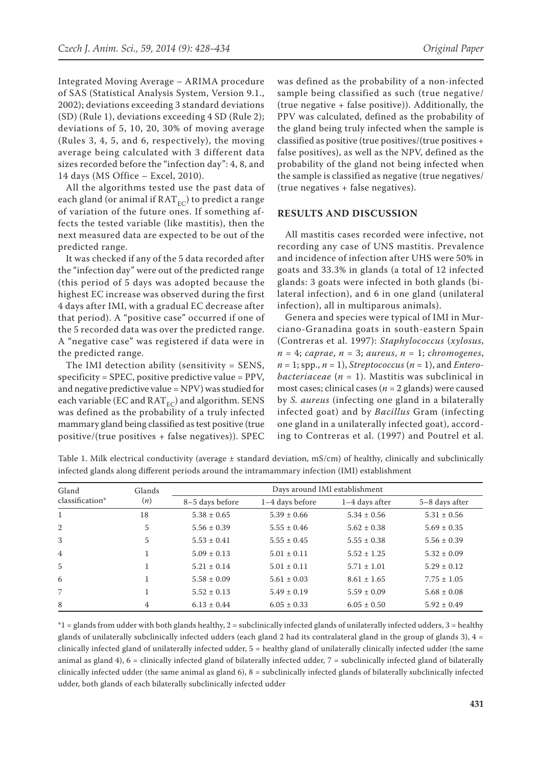Integrated Moving Average – ARIMA procedure of SAS (Statistical Analysis System, Version 9.1., 2002); deviations exceeding 3 standard deviations (SD) (Rule 1), deviations exceeding 4 SD (Rule 2); deviations of 5, 10, 20, 30% of moving average (Rules 3, 4, 5, and 6, respectively), the moving average being calculated with 3 different data sizes recorded before the "infection day": 4, 8, and 14 days (MS Office – Excel, 2010).

All the algorithms tested use the past data of each gland (or animal if  $RAT_{EC}$ ) to predict a range of variation of the future ones. If something affects the tested variable (like mastitis), then the next measured data are expected to be out of the predicted range.

It was checked if any of the 5 data recorded after the "infection day" were out of the predicted range (this period of 5 days was adopted because the highest EC increase was observed during the first 4 days after IMI, with a gradual EC decrease after that period). A "positive case" occurred if one of the 5 recorded data was over the predicted range. A "negative case" was registered if data were in the predicted range.

The IMI detection ability (sensitivity = SENS, specificity = SPEC, positive predictive value = PPV, and negative predictive value = NPV) was studied for each variable (EC and  $RAT_{EC}$ ) and algorithm. SENS was defined as the probability of a truly infected mammary gland being classified as test positive (true positive/(true positives + false negatives)). SPEC was defined as the probability of a non-infected sample being classified as such (true negative/ (true negative + false positive)). Additionally, the PPV was calculated, defined as the probability of the gland being truly infected when the sample is classified as positive (true positives/(true positives + false positives), as well as the NPV, defined as the probability of the gland not being infected when the sample is classified as negative (true negatives/ (true negatives + false negatives).

## **RESULTS AND DISCUSSION**

All mastitis cases recorded were infective, not recording any case of UNS mastitis. Prevalence and incidence of infection after UHS were 50% in goats and 33.3% in glands (a total of 12 infected glands: 3 goats were infected in both glands (bilateral infection), and 6 in one gland (unilateral infection), all in multiparous animals).

Genera and species were typical of IMI in Murciano-Granadina goats in south-eastern Spain (Contreras et al. 1997): *Staphylococcus* (*xylosus*, *n* = 4; *caprae*, *n* = 3; *aureus*, *n* = 1; *chromogenes*,  $n = 1$ ; spp.,  $n = 1$ ), *Streptococcus* ( $n = 1$ ), and *Enterobacteriaceae* (*n* = 1). Mastitis was subclinical in most cases; clinical cases (*n* = 2 glands) were caused by *S. aureus* (infecting one gland in a bilaterally infected goat) and by *Bacillus* Gram (infecting one gland in a unilaterally infected goat), according to Contreras et al. (1997) and Poutrel et al.

Table 1. Milk electrical conductivity (average  $\pm$  standard deviation, mS/cm) of healthy, clinically and subclinically infected glands along different periods around the intramammary infection (IMI) establishment

| Gland<br>classification* | Glands<br>(n) | Days around IMI establishment |                 |                  |                 |  |  |
|--------------------------|---------------|-------------------------------|-----------------|------------------|-----------------|--|--|
|                          |               | 8-5 days before               | 1-4 days before | $1-4$ days after | 5–8 days after  |  |  |
| 1                        | 18            | $5.38 \pm 0.65$               | $5.39 \pm 0.66$ | $5.34 \pm 0.56$  | $5.31 \pm 0.56$ |  |  |
| 2                        | 5             | $5.56 \pm 0.39$               | $5.55 \pm 0.46$ | $5.62 \pm 0.38$  | $5.69 \pm 0.35$ |  |  |
| 3                        | 5             | $5.53 \pm 0.41$               | $5.55 \pm 0.45$ | $5.55 \pm 0.38$  | $5.56 \pm 0.39$ |  |  |
| $\overline{4}$           |               | $5.09 \pm 0.13$               | $5.01 \pm 0.11$ | $5.52 \pm 1.25$  | $5.32 \pm 0.09$ |  |  |
| 5                        |               | $5.21 \pm 0.14$               | $5.01 \pm 0.11$ | $5.71 \pm 1.01$  | $5.29 \pm 0.12$ |  |  |
| 6                        |               | $5.58 \pm 0.09$               | $5.61 \pm 0.03$ | $8.61 \pm 1.65$  | $7.75 \pm 1.05$ |  |  |
| 7                        |               | $5.52 \pm 0.13$               | $5.49 \pm 0.19$ | $5.59 \pm 0.09$  | $5.68 \pm 0.08$ |  |  |
| 8                        | 4             | $6.13 \pm 0.44$               | $6.05 \pm 0.33$ | $6.05 \pm 0.50$  | $5.92 \pm 0.49$ |  |  |

\*1 = glands from udder with both glands healthy, 2 = subclinically infected glands of unilaterally infected udders, 3 = healthy glands of unilaterally subclinically infected udders (each gland 2 had its contralateral gland in the group of glands 3),  $4 =$ clinically infected gland of unilaterally infected udder, 5 = healthy gland of unilaterally clinically infected udder (the same animal as gland 4), 6 = clinically infected gland of bilaterally infected udder, 7 = subclinically infected gland of bilaterally clinically infected udder (the same animal as gland 6), 8 = subclinically infected glands of bilaterally subclinically infected udder, both glands of each bilaterally subclinically infected udder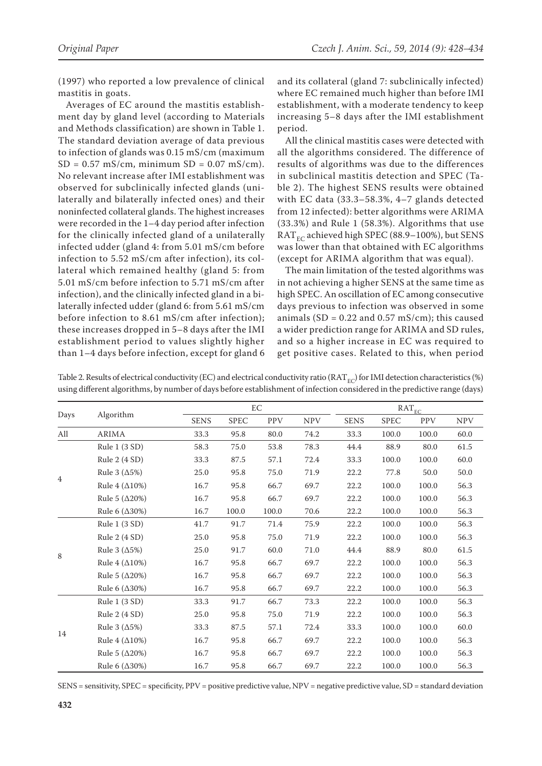(1997) who reported a low prevalence of clinical mastitis in goats.

Averages of EC around the mastitis establishment day by gland level (according to Materials and Methods classification) are shown in Table 1. The standard deviation average of data previous to infection of glands was 0.15 mS/cm (maximum  $SD = 0.57$  mS/cm, minimum  $SD = 0.07$  mS/cm). No relevant increase after IMI establishment was observed for subclinically infected glands (unilaterally and bilaterally infected ones) and their noninfected collateral glands. The highest increases were recorded in the 1–4 day period after infection for the clinically infected gland of a unilaterally infected udder (gland 4: from 5.01 mS/cm before infection to 5.52 mS/cm after infection), its collateral which remained healthy (gland 5: from 5.01 mS/cm before infection to 5.71 mS/cm after infection), and the clinically infected gland in a bilaterally infected udder (gland 6: from 5.61 mS/cm before infection to 8.61 mS/cm after infection); these increases dropped in 5–8 days after the IMI establishment period to values slightly higher than 1–4 days before infection, except for gland 6 and its collateral (gland 7: subclinically infected) where EC remained much higher than before IMI establishment, with a moderate tendency to keep increasing 5–8 days after the IMI establishment period.

All the clinical mastitis cases were detected with all the algorithms considered. The difference of results of algorithms was due to the differences in subclinical mastitis detection and SPEC (Table 2). The highest SENS results were obtained with EC data (33.3–58.3%, 4–7 glands detected from 12 infected): better algorithms were ARIMA (33.3%) and Rule 1 (58.3%). Algorithms that use  $RAT_{EC}$  achieved high SPEC (88.9–100%), but SENS was lower than that obtained with EC algorithms (except for ARIMA algorithm that was equal).

The main limitation of the tested algorithms was in not achieving a higher SENS at the same time as high SPEC. An oscillation of EC among consecutive days previous to infection was observed in some animals (SD =  $0.22$  and  $0.57$  mS/cm); this caused a wider prediction range for ARIMA and SD rules, and so a higher increase in EC was required to get positive cases. Related to this, when period

Table 2. Results of electrical conductivity (EC) and electrical conductivity ratio (RAT<sub>EC</sub>) for IMI detection characteristics (%) using different algorithms, by number of days before establishment of infection considered in the predictive range (days)

| Days           | Algorithm              |             | EC          |            |            |             | $\text{RAT}_{\text{EC}}$ |            |            |  |
|----------------|------------------------|-------------|-------------|------------|------------|-------------|--------------------------|------------|------------|--|
|                |                        | <b>SENS</b> | <b>SPEC</b> | <b>PPV</b> | <b>NPV</b> | <b>SENS</b> | <b>SPEC</b>              | <b>PPV</b> | <b>NPV</b> |  |
| All            | <b>ARIMA</b>           | 33.3        | 95.8        | 80.0       | 74.2       | 33.3        | 100.0                    | 100.0      | 60.0       |  |
| $\overline{4}$ | Rule 1 (3 SD)          | 58.3        | 75.0        | 53.8       | 78.3       | 44.4        | 88.9                     | 80.0       | 61.5       |  |
|                | Rule $2(4 SD)$         | 33.3        | 87.5        | 57.1       | 72.4       | 33.3        | 100.0                    | 100.0      | 60.0       |  |
|                | Rule 3 $(\Delta 5\%)$  | 25.0        | 95.8        | 75.0       | 71.9       | 22.2        | 77.8                     | 50.0       | 50.0       |  |
|                | Rule 4 $(\Delta 10\%)$ | 16.7        | 95.8        | 66.7       | 69.7       | 22.2        | 100.0                    | 100.0      | 56.3       |  |
|                | Rule 5 $(\Delta 20\%)$ | 16.7        | 95.8        | 66.7       | 69.7       | 22.2        | 100.0                    | 100.0      | 56.3       |  |
|                | Rule 6 $(\Delta 30\%)$ | 16.7        | 100.0       | 100.0      | 70.6       | 22.2        | 100.0                    | 100.0      | 56.3       |  |
| 8              | Rule 1 (3 SD)          | 41.7        | 91.7        | 71.4       | 75.9       | 22.2        | 100.0                    | 100.0      | 56.3       |  |
|                | Rule 2 (4 SD)          | 25.0        | 95.8        | 75.0       | 71.9       | 22.2        | 100.0                    | 100.0      | 56.3       |  |
|                | Rule 3 $(\Delta 5\%)$  | 25.0        | 91.7        | 60.0       | 71.0       | 44.4        | 88.9                     | 80.0       | 61.5       |  |
|                | Rule 4 $(\Delta 10\%)$ | 16.7        | 95.8        | 66.7       | 69.7       | 22.2        | 100.0                    | 100.0      | 56.3       |  |
|                | Rule 5 $(\Delta 20\%)$ | 16.7        | 95.8        | 66.7       | 69.7       | 22.2        | 100.0                    | 100.0      | 56.3       |  |
|                | Rule 6 $(\Delta 30\%)$ | 16.7        | 95.8        | 66.7       | 69.7       | 22.2        | 100.0                    | 100.0      | 56.3       |  |
| 14             | Rule 1 (3 SD)          | 33.3        | 91.7        | 66.7       | 73.3       | 22.2        | 100.0                    | 100.0      | 56.3       |  |
|                | Rule $2(4 SD)$         | 25.0        | 95.8        | 75.0       | 71.9       | 22.2        | 100.0                    | 100.0      | 56.3       |  |
|                | Rule 3 $(\Delta 5\%)$  | 33.3        | 87.5        | 57.1       | 72.4       | 33.3        | 100.0                    | 100.0      | 60.0       |  |
|                | Rule 4 $(\Delta 10\%)$ | 16.7        | 95.8        | 66.7       | 69.7       | 22.2        | 100.0                    | 100.0      | 56.3       |  |
|                | Rule 5 $(\Delta 20\%)$ | 16.7        | 95.8        | 66.7       | 69.7       | 22.2        | 100.0                    | 100.0      | 56.3       |  |
|                | Rule 6 $(\Delta 30\%)$ | 16.7        | 95.8        | 66.7       | 69.7       | 22.2        | 100.0                    | 100.0      | 56.3       |  |

SENS = sensitivity, SPEC = specificity, PPV = positive predictive value, NPV = negative predictive value, SD = standard deviation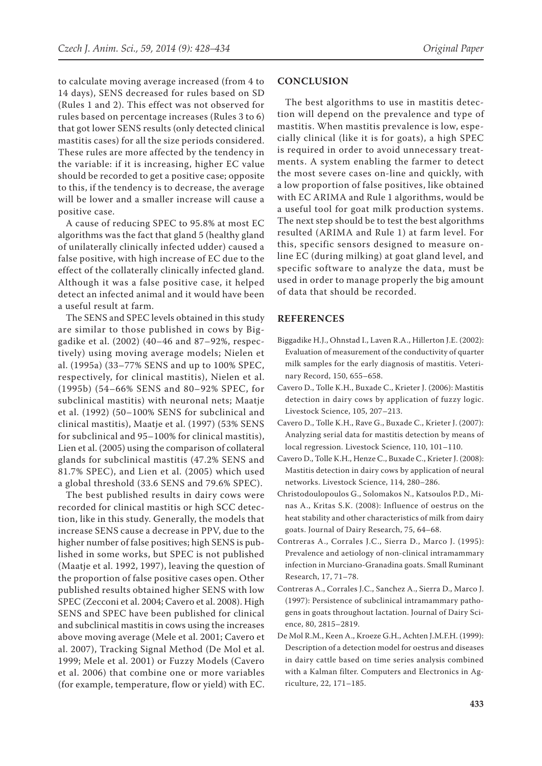to calculate moving average increased (from 4 to 14 days), SENS decreased for rules based on SD (Rules 1 and 2). This effect was not observed for rules based on percentage increases (Rules 3 to 6) that got lower SENS results (only detected clinical mastitis cases) for all the size periods considered. These rules are more affected by the tendency in the variable: if it is increasing, higher EC value should be recorded to get a positive case; opposite to this, if the tendency is to decrease, the average will be lower and a smaller increase will cause a positive case.

A cause of reducing SPEC to 95.8% at most EC algorithms was the fact that gland 5 (healthy gland of unilaterally clinically infected udder) caused a false positive, with high increase of EC due to the effect of the collaterally clinically infected gland. Although it was a false positive case, it helped detect an infected animal and it would have been a useful result at farm.

The SENS and SPEC levels obtained in this study are similar to those published in cows by Biggadike et al. (2002) (40–46 and 87–92%, respectively) using moving average models; Nielen et al. (1995a) (33–77% SENS and up to 100% SPEC, respectively, for clinical mastitis), Nielen et al. (1995b) (54–66% SENS and 80–92% SPEC, for subclinical mastitis) with neuronal nets; Maatje et al. (1992) (50–100% SENS for subclinical and clinical mastitis), Maatje et al. (1997) (53% SENS for subclinical and 95–100% for clinical mastitis), Lien et al. (2005) using the comparison of collateral glands for subclinical mastitis (47.2% SENS and 81.7% SPEC), and Lien et al. (2005) which used a global threshold (33.6 SENS and 79.6% SPEC).

The best published results in dairy cows were recorded for clinical mastitis or high SCC detection, like in this study. Generally, the models that increase SENS cause a decrease in PPV, due to the higher number of false positives; high SENS is published in some works, but SPEC is not published (Maatje et al. 1992, 1997), leaving the question of the proportion of false positive cases open. Other published results obtained higher SENS with low SPEC (Zecconi et al. 2004; Cavero et al. 2008). High SENS and SPEC have been published for clinical and subclinical mastitis in cows using the increases above moving average (Mele et al. 2001; Cavero et al. 2007), Tracking Signal Method (De Mol et al. 1999; Mele et al. 2001) or Fuzzy Models (Cavero et al. 2006) that combine one or more variables (for example, temperature, flow or yield) with EC.

## **CONCLUSION**

The best algorithms to use in mastitis detection will depend on the prevalence and type of mastitis. When mastitis prevalence is low, especially clinical (like it is for goats), a high SPEC is required in order to avoid unnecessary treatments. A system enabling the farmer to detect the most severe cases on-line and quickly, with a low proportion of false positives, like obtained with EC ARIMA and Rule 1 algorithms, would be a useful tool for goat milk production systems. The next step should be to test the best algorithms resulted (ARIMA and Rule 1) at farm level. For this, specific sensors designed to measure online EC (during milking) at goat gland level, and specific software to analyze the data, must be used in order to manage properly the big amount of data that should be recorded.

## **REFERENCES**

- Biggadike H.J., Ohnstad I., Laven R.A., Hillerton J.E. (2002): Evaluation of measurement of the conductivity of quarter milk samples for the early diagnosis of mastitis. Veterinary Record, 150, 655–658.
- Cavero D., Tolle K.H., Buxade C., Krieter J. (2006): Mastitis detection in dairy cows by application of fuzzy logic. Livestock Science, 105, 207–213.
- Cavero D., Tolle K.H., Rave G., Buxade C., Krieter J. (2007): Analyzing serial data for mastitis detection by means of local regression. Livestock Science, 110, 101–110.
- Cavero D., Tolle K.H., Henze C., Buxade C., Krieter J. (2008): Mastitis detection in dairy cows by application of neural networks. Livestock Science, 114, 280–286.
- Christodoulopoulos G., Solomakos N., Katsoulos P.D., Minas A., Kritas S.K. (2008): Influence of oestrus on the heat stability and other characteristics of milk from dairy goats. Journal of Dairy Research, 75, 64–68.
- Contreras A., Corrales J.C., Sierra D., Marco J. (1995): Prevalence and aetiology of non-clinical intramammary infection in Murciano-Granadina goats. Small Ruminant Research, 17, 71–78.
- Contreras A., Corrales J.C., Sanchez A., Sierra D., Marco J. (1997): Persistence of subclinical intramammary pathogens in goats throughout lactation. Journal of Dairy Science, 80, 2815–2819.
- De Mol R.M., Keen A., Kroeze G.H., Achten J.M.F.H. (1999): Description of a detection model for oestrus and diseases in dairy cattle based on time series analysis combined with a Kalman filter. Computers and Electronics in Agriculture, 22, 171–185.